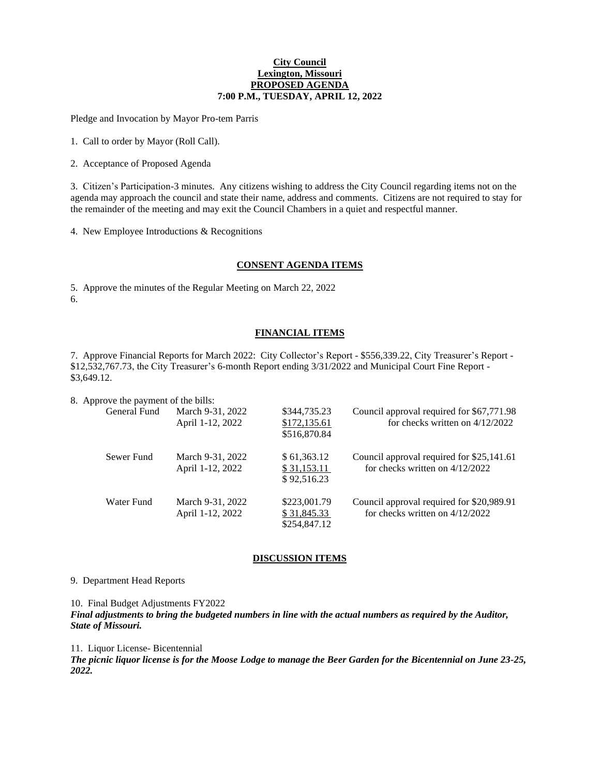#### **City Council Lexington, Missouri PROPOSED AGENDA 7:00 P.M., TUESDAY, APRIL 12, 2022**

Pledge and Invocation by Mayor Pro-tem Parris

1. Call to order by Mayor (Roll Call).

2. Acceptance of Proposed Agenda

3. Citizen's Participation-3 minutes. Any citizens wishing to address the City Council regarding items not on the agenda may approach the council and state their name, address and comments. Citizens are not required to stay for the remainder of the meeting and may exit the Council Chambers in a quiet and respectful manner.

4. New Employee Introductions & Recognitions

### **CONSENT AGENDA ITEMS**

5. Approve the minutes of the Regular Meeting on March 22, 2022 6.

# **FINANCIAL ITEMS**

7. Approve Financial Reports for March 2022: City Collector's Report - \$556,339.22, City Treasurer's Report - \$12,532,767.73, the City Treasurer's 6-month Report ending 3/31/2022 and Municipal Court Fine Report - \$3,649.12.

8. Approve the payment of the bills:

| General Fund | March 9-31, 2022<br>April 1-12, 2022 | \$344,735.23<br>\$172,135.61<br>\$516,870.84 | Council approval required for \$67,771.98<br>for checks written on 4/12/2022   |
|--------------|--------------------------------------|----------------------------------------------|--------------------------------------------------------------------------------|
| Sewer Fund   | March 9-31, 2022<br>April 1-12, 2022 | \$61,363.12<br>\$31,153.11<br>\$92,516.23    | Council approval required for \$25,141.61<br>for checks written on $4/12/2022$ |
| Water Fund   | March 9-31, 2022<br>April 1-12, 2022 | \$223,001.79<br>\$31,845.33<br>\$254,847.12  | Council approval required for \$20,989.91<br>for checks written on $4/12/2022$ |

# **DISCUSSION ITEMS**

## 9. Department Head Reports

10. Final Budget Adjustments FY2022

*Final adjustments to bring the budgeted numbers in line with the actual numbers as required by the Auditor, State of Missouri.*

11. Liquor License- Bicentennial

*The picnic liquor license is for the Moose Lodge to manage the Beer Garden for the Bicentennial on June 23-25, 2022.*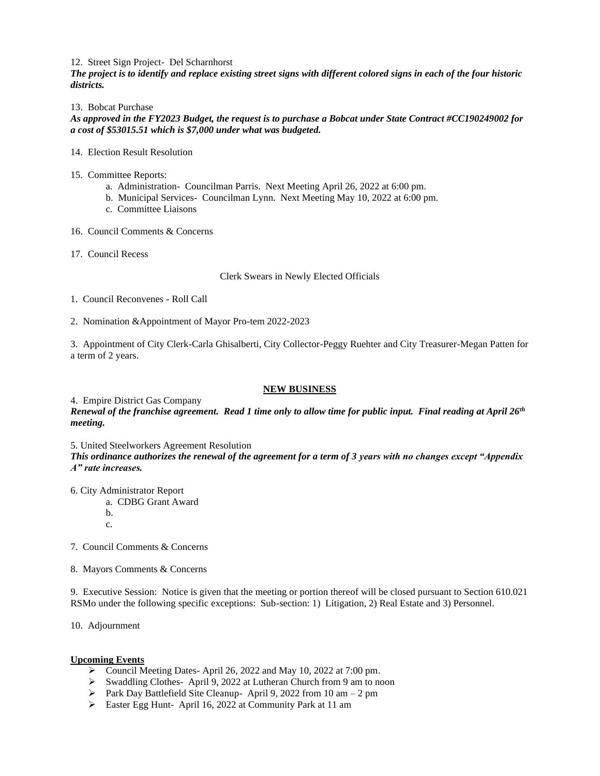#### 12. Street Sign Project- Del Scharnhorst

*The project is to identify and replace existing street signs with different colored signs in each of the four historic districts.*

#### 13. Bobcat Purchase

*As approved in the FY2023 Budget, the request is to purchase a Bobcat under State Contract #CC190249002 for a cost of \$53015.51 which is \$7,000 under what was budgeted.*

#### 14. Election Result Resolution

- 15. Committee Reports:
	- a. Administration- Councilman Parris. Next Meeting April 26, 2022 at 6:00 pm.
	- b. Municipal Services- Councilman Lynn. Next Meeting May 10, 2022 at 6:00 pm.
	- c. Committee Liaisons
- 16. Council Comments & Concerns
- 17. Council Recess

### Clerk Swears in Newly Elected Officials

- 1. Council Reconvenes Roll Call
- 2. Nomination &Appointment of Mayor Pro-tem 2022-2023

3. Appointment of City Clerk-Carla Ghisalberti, City Collector-Peggy Ruehter and City Treasurer-Megan Patten for a term of 2 years.

## **NEW BUSINESS**

#### 4. Empire District Gas Company

*Renewal of the franchise agreement. Read 1 time only to allow time for public input. Final reading at April 26th meeting.*

5. United Steelworkers Agreement Resolution

*This ordinance authorizes the renewal of the agreement for a term of 3 years with no changes except "Appendix A" rate increases.*

- 6. City Administrator Report
	- a. CDBG Grant Award
	- b.
	- c.

7. Council Comments & Concerns

8. Mayors Comments & Concerns

9. Executive Session: Notice is given that the meeting or portion thereof will be closed pursuant to Section 610.021 RSMo under the following specific exceptions: Sub-section: 1) Litigation, 2) Real Estate and 3) Personnel.

10. Adjournment

# **Upcoming Events**

- ➢ Council Meeting Dates- April 26, 2022 and May 10, 2022 at 7:00 pm.
- ➢ Swaddling Clothes- April 9, 2022 at Lutheran Church from 9 am to noon
- $\triangleright$  Park Day Battlefield Site Cleanup- April 9, 2022 from 10 am 2 pm
- ➢ Easter Egg Hunt- April 16, 2022 at Community Park at 11 am